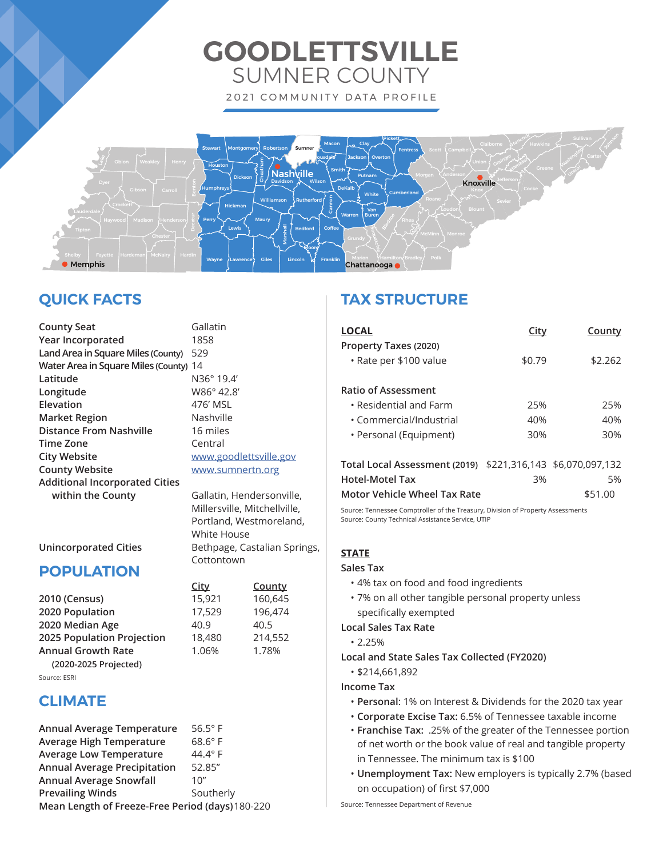# **GOODLETTSVILLE** SUMNER COUNTY 2021 COMMUNITY DATA PROFILE



# **QUICK FACTS**

**County Seat** Gallatin **Year Incorporated** 1858 **Land Area in Square Miles (County)** 529 **Water Area in Square Miles (County)** 14 **Latitude** N36° 19.4' **Longitude** W86° 42.8' Elevation 476' MSL **Market Region** Nashville **Distance From Nashville** 16 miles **Time Zone** Central **City Website WAGGINER WWW.goodlettsville.gov County Website With Marson WWW.sumnertn.org Additional Incorporated Cities**  within the County **Gallatin**, Hendersonville,

 Millersville, Mitchellville, Portland, Westmoreland, White House Bethpage, Castalian Springs, **Cottontown** 

 **City County**

## **POPULATION**

**2010 (Census)** 15,921 160,645 **2020 Population** 17,529 196,474 **2020 Median Age 40.9** 40.5 **2025 Population Projection** 18,480 214,552 **Annual Growth Rate** 1.06% 1.78% **(2020-2025 Projected)** Source: ESRI

# **CLIMATE**

| Annual Average Temperature                       | $56.5^\circ$ F |  |
|--------------------------------------------------|----------------|--|
| <b>Average High Temperature</b>                  | $68.6^\circ$ F |  |
| <b>Average Low Temperature</b>                   | 44.4° F        |  |
| <b>Annual Average Precipitation</b>              | 52.85"         |  |
| <b>Annual Average Snowfall</b>                   | 10''           |  |
| <b>Prevailing Winds</b>                          | Southerly      |  |
| Mean Length of Freeze-Free Period (days) 180-220 |                |  |

# **TAX STRUCTURE**

| LOCAL                                           | City   | County  |
|-------------------------------------------------|--------|---------|
| Property Taxes (2020)<br>• Rate per \$100 value | \$0.79 | \$2.262 |
| <b>Ratio of Assessment</b>                      |        |         |
| • Residential and Farm                          | 25%    | 25%     |
| • Commercial/Industrial                         | 40%    | 40%     |
| • Personal (Equipment)                          | 30%    | 30%     |
|                                                 |        |         |

| Total Local Assessment (2019) \$221,316,143 \$6,070,097,132 |    |         |
|-------------------------------------------------------------|----|---------|
| <b>Hotel-Motel Tax</b>                                      | 3% | 5%      |
| Motor Vehicle Wheel Tax Rate                                |    | \$51.00 |

Source: Tennessee Comptroller of the Treasury, Division of Property Assessments Source: County Technical Assistance Service, UTIP

### **STATE**

**Sales Tax** 

- 4% tax on food and food ingredients
- 7% on all other tangible personal property unless specifically exempted

**Local Sales Tax Rate**

• 2.25%

- **Local and State Sales Tax Collected (FY2020)**
	- \$214,661,892

**Income Tax**

- **Personal**: 1% on Interest & Dividends for the 2020 tax year
- **Corporate Excise Tax:** 6.5% of Tennessee taxable income
- **Franchise Tax:** .25% of the greater of the Tennessee portion of net worth or the book value of real and tangible property in Tennessee. The minimum tax is \$100
- **Unemployment Tax:** New employers is typically 2.7% (based on occupation) of first \$7,000

Source: Tennessee Department of Revenue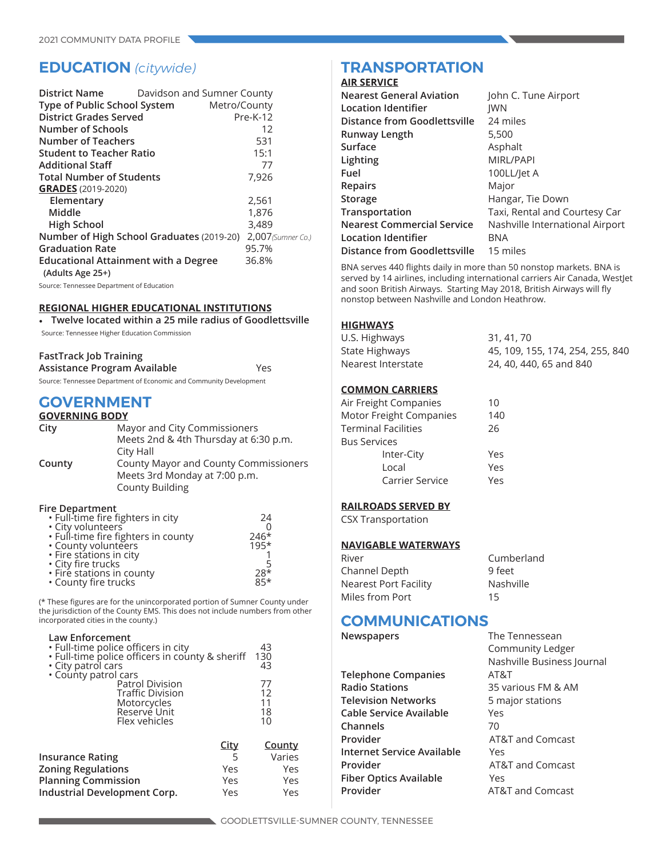# **EDUCATION** *(citywide)*

| District Name                               | Davidson and Sumner County                |                    |
|---------------------------------------------|-------------------------------------------|--------------------|
| Type of Public School System                | Metro/County                              |                    |
| <b>District Grades Served</b>               |                                           | Pre-K-12           |
| <b>Number of Schools</b>                    |                                           | 12                 |
| <b>Number of Teachers</b>                   |                                           | 531                |
| <b>Student to Teacher Ratio</b>             |                                           | 15:1               |
| <b>Additional Staff</b>                     |                                           | 77                 |
| <b>Total Number of Students</b>             |                                           | 7,926              |
| <b>GRADES</b> (2019-2020)                   |                                           |                    |
| Elementary                                  |                                           | 2,561              |
| Middle                                      |                                           | 1,876              |
| <b>High School</b>                          |                                           | 3,489              |
|                                             | Number of High School Graduates (2019-20) | 2,007 (Sumner Co.) |
| <b>Graduation Rate</b>                      |                                           | 95.7%              |
| <b>Educational Attainment with a Degree</b> |                                           | 36.8%              |
| (Adults Age 25+)                            |                                           |                    |
| Source: Tennessee Department of Education   |                                           |                    |

#### **REGIONAL HIGHER EDUCATIONAL INSTITUTIONS**

• **Twelve located within a 25 mile radius of Goodlettsville**

Source: Tennessee Higher Education Commission

| <b>FastTrack Job Training</b>                                      |     |
|--------------------------------------------------------------------|-----|
| Assistance Program Available                                       | Yes |
| Source: Tennessee Department of Economic and Community Development |     |

### **GOVERNMENT**

| <b>GOVERNING BODY</b> |                                              |
|-----------------------|----------------------------------------------|
| City                  | Mayor and City Commissioners                 |
|                       | Meets 2nd & 4th Thursday at 6:30 p.m.        |
|                       | City Hall                                    |
| County                | <b>County Mayor and County Commissioners</b> |
|                       | Meets 3rd Monday at 7:00 p.m.                |
|                       | <b>County Building</b>                       |

#### **Fire Department**

| • Full-time fire fighters in city   | 24           |
|-------------------------------------|--------------|
| • City volunteers                   |              |
| . Full-time fire fighters in county | 246*<br>195* |
| · County volunteers                 |              |
| • Fire stations in city             |              |
| • City fire trucks                  |              |
| • Fire stations in county           | $28*$        |
| • County fire trucks                | $85*$        |

(\* These figures are for the unincorporated portion of Sumner County under the jurisdiction of the County EMS. This does not include numbers from other incorporated cities in the county.)

| Law Enforcement<br>. Full-time police officers in city<br>· Full-time police officers in county & sheriff<br>• City patrol cars<br>· County patrol cars |             | 43<br>130<br>43            |
|---------------------------------------------------------------------------------------------------------------------------------------------------------|-------------|----------------------------|
| <b>Patrol Division</b><br><b>Traffic Division</b><br>Motorcycles<br>Reservé Unit<br>Flex vehicles                                                       |             | 77<br>12<br>11<br>18<br>10 |
|                                                                                                                                                         | <b>City</b> | <b>County</b>              |
| <b>Insurance Rating</b>                                                                                                                                 |             | Varies                     |
| <b>Zoning Regulations</b>                                                                                                                               | Yes         | Yes                        |
| <b>Planning Commission</b>                                                                                                                              | Yes         | Yes                        |
| Industrial Development Corp.                                                                                                                            | Yes         | Yes                        |
|                                                                                                                                                         |             |                            |

# **TRANSPORTATION**

### **AIR SERVICE**

| <b>Nearest General Aviation</b>   | John C. Tune Airport            |
|-----------------------------------|---------------------------------|
| Location Identifier               | <b>IWN</b>                      |
| Distance from Goodlettsville      | 24 miles                        |
| Runway Length                     | 5,500                           |
| Surface                           | Asphalt                         |
| Lighting                          | MIRL/PAPI                       |
| Fuel                              | 100LL/let A                     |
| <b>Repairs</b>                    | Major                           |
| Storage                           | Hangar, Tie Down                |
| Transportation                    | Taxi, Rental and Courtesy Car   |
| <b>Nearest Commercial Service</b> | Nashville International Airport |
| Location Identifier               | <b>BNA</b>                      |
| Distance from Goodlettsville      | 15 miles                        |
|                                   |                                 |

BNA serves 440 flights daily in more than 50 nonstop markets. BNA is served by 14 airlines, including international carriers Air Canada, WestJet and soon British Airways. Starting May 2018, British Airways will fly nonstop between Nashville and London Heathrow.

### **HIGHWAYS**

| U.S. Highways      | 31, 41, 70                       |
|--------------------|----------------------------------|
| State Highways     | 45, 109, 155, 174, 254, 255, 840 |
| Nearest Interstate | 24, 40, 440, 65 and 840          |

#### **COMMON CARRIERS**

| Air Freight Companies   | 10   |
|-------------------------|------|
| Motor Freight Companies | 140  |
| Terminal Facilities     | 26   |
| <b>Bus Services</b>     |      |
| Inter-City              | Yes  |
| Local                   | Yes  |
| Carrier Service         | Yes. |
|                         |      |

### **RAILROADS SERVED BY**

CSX Transportation

#### **NAVIGABLE WATERWAYS**

| River                 | Cumberland |
|-----------------------|------------|
| Channel Depth         | 9 feet     |
| Nearest Port Facility | Nashville  |
| Miles from Port       | 15         |

### **COMMUNICATIONS The Tennessean**

| Newspapers |  |
|------------|--|
|------------|--|

|                               | Nashville Business Journal  |
|-------------------------------|-----------------------------|
| <b>Telephone Companies</b>    | AT&T                        |
| <b>Radio Stations</b>         | 35 various FM & AM          |
| <b>Television Networks</b>    | 5 major stations            |
| Cable Service Available       | Yes                         |
| Channels                      | 70                          |
| Provider                      | AT&T and Comcast            |
| Internet Service Available    | Yes                         |
| Provider                      | AT&T and Comcast            |
| <b>Fiber Optics Available</b> | Yes                         |
| Provider                      | <b>AT&amp;T and Comcast</b> |

Community Ledger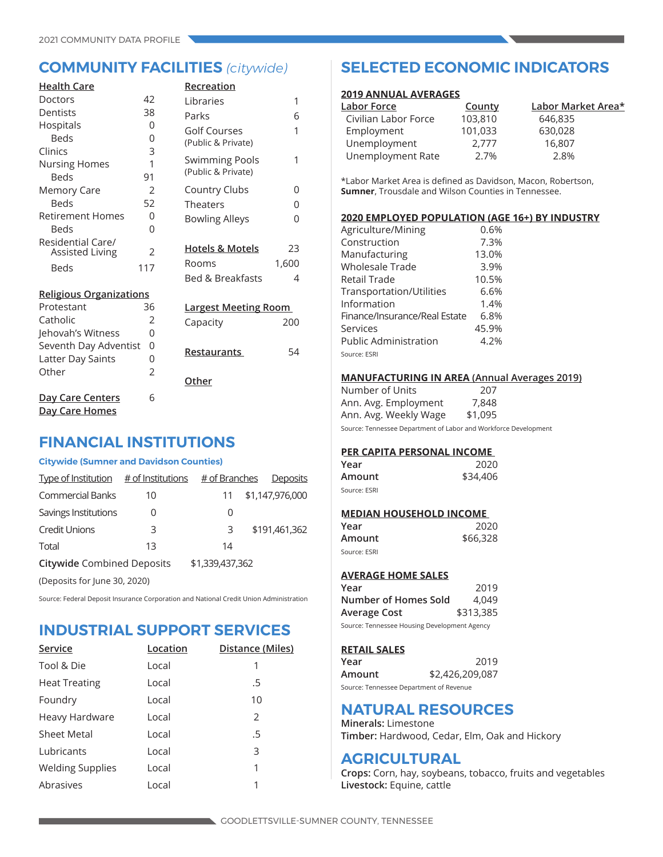| <b>Health Care</b>             |                | Recreation                  |       |
|--------------------------------|----------------|-----------------------------|-------|
| Doctors                        | 42             | Libraries                   | 1     |
| Dentists                       | 38             | Parks                       | 6     |
| Hospitals                      | 0              | Golf Courses                | 1     |
| <b>Beds</b>                    | 0              | (Public & Private)          |       |
| Clinics                        | 3              |                             |       |
| <b>Nursing Homes</b>           | 1              | <b>Swimming Pools</b>       | 1     |
| <b>Beds</b>                    | 91             | (Public & Private)          |       |
| <b>Memory Care</b>             | $\mathfrak{D}$ | <b>Country Clubs</b>        | 0     |
| <b>Beds</b>                    | 52             | Theaters                    | 0     |
| <b>Retirement Homes</b>        | 0              | <b>Bowling Alleys</b>       | 0     |
| Beds                           | 0              |                             |       |
| Residential Care/              |                | <b>Hotels &amp; Motels</b>  | 23    |
| <b>Assisted Living</b>         | 2              | Rooms                       |       |
| <b>Beds</b>                    | 117            |                             | 1,600 |
|                                |                | <b>Bed &amp; Breakfasts</b> | 4     |
| <b>Religious Organizations</b> |                |                             |       |
| Protestant                     | 36             | <b>Largest Meeting Room</b> |       |
| Catholic                       | $\overline{2}$ | Capacity                    | 200   |
| Jehovah's Witness              | 0              |                             |       |
| Seventh Day Adventist          | 0              | Restaurants                 | 54    |
| Latter Day Saints              | 0              |                             |       |
| Other                          | $\overline{2}$ |                             |       |
|                                |                | Other                       |       |
| Day Care Centers               | 6              |                             |       |
| Day Care Homes                 |                |                             |       |

### **FINANCIAL INSTITUTIONS**

### **Citywide (Sumner and Davidson Counties)**

| Type of Institution $#$ of Institutions |    | # of Branches   | <b>Deposits</b> |
|-----------------------------------------|----|-----------------|-----------------|
| <b>Commercial Banks</b>                 | 10 | 11              | \$1,147,976,000 |
| Savings Institutions                    | 0  | 0               |                 |
| <b>Credit Unions</b>                    | 3  | 3               | \$191,461,362   |
| Total                                   | 13 | 14              |                 |
| <b>Citywide Combined Deposits</b>       |    | \$1,339,437,362 |                 |
| (Deposits for June 30, 2020)            |    |                 |                 |

Source: Federal Deposit Insurance Corporation and National Credit Union Administration

## **INDUSTRIAL SUPPORT SERVICES**

| Service                 | Location | Distance (Miles) |
|-------------------------|----------|------------------|
| Tool & Die              | Local    | 1                |
| <b>Heat Treating</b>    | Local    | .5               |
| Foundry                 | Local    | 10               |
| Heavy Hardware          | Local    | 2                |
| <b>Sheet Metal</b>      | Local    | .5               |
| Lubricants              | Local    | 3                |
| <b>Welding Supplies</b> | Local    | 1                |
| Abrasives               | Local    | 1                |

# **COMMUNITY FACILITIES** *(citywide)* **SELECTED ECONOMIC INDICATORS**

#### **2019 ANNUAL AVERAGES**

| <u> Labor Force</u>  | County  | Labor Market Area* |
|----------------------|---------|--------------------|
| Civilian Labor Force | 103,810 | 646,835            |
| Employment           | 101,033 | 630,028            |
| Unemployment         | 2.777   | 16,807             |
| Unemployment Rate    | 2.7%    | 2.8%               |

\*Labor Market Area is defined as Davidson, Macon, Robertson, **Sumner**, Trousdale and Wilson Counties in Tennessee.

#### **2020 EMPLOYED POPULATION (AGE 16+) BY INDUSTRY**

| Agriculture/Mining            | 0.6%  |
|-------------------------------|-------|
| Construction                  | 7.3%  |
| Manufacturing                 | 13.0% |
| <b>Wholesale Trade</b>        | 3.9%  |
| Retail Trade                  | 10.5% |
| Transportation/Utilities      | 6.6%  |
| Information                   | 1.4%  |
| Finance/Insurance/Real Estate | 6.8%  |
| Services                      | 45.9% |
| <b>Public Administration</b>  | 4.2%  |
| Source: ESRI                  |       |

### **MANUFACTURING IN AREA (Annual Averages 2019)**

Number of Units 207 Ann. Avg. Employment 7,848 Ann. Avg. Weekly Wage \$1,095 Source: Tennessee Department of Labor and Workforce Development

#### **PER CAPITA PERSONAL INCOME**

| Year         | 2020     |
|--------------|----------|
| Amount       | \$34,406 |
| Source: ESRI |          |

#### **MEDIAN HOUSEHOLD INCOME**

| Year         | 2020     |
|--------------|----------|
| Amount       | \$66,328 |
| Source: ESRI |          |

### **AVERAGE HOME SALES**

| Year                                         | 2019      |
|----------------------------------------------|-----------|
| Number of Homes Sold                         | 4.049     |
| Average Cost                                 | \$313,385 |
| Source: Tennessee Housing Development Agency |           |

### **RETAIL SALES**

| Year                                    | 2019            |
|-----------------------------------------|-----------------|
| Amount                                  | \$2,426,209,087 |
| Source: Tennessee Department of Revenue |                 |

### **NATURAL RESOURCES**

**Minerals:** Limestone **Timber:** Hardwood, Cedar, Elm, Oak and Hickory

### **AGRICULTURAL**

**Crops:** Corn, hay, soybeans, tobacco, fruits and vegetables **Livestock:** Equine, cattle